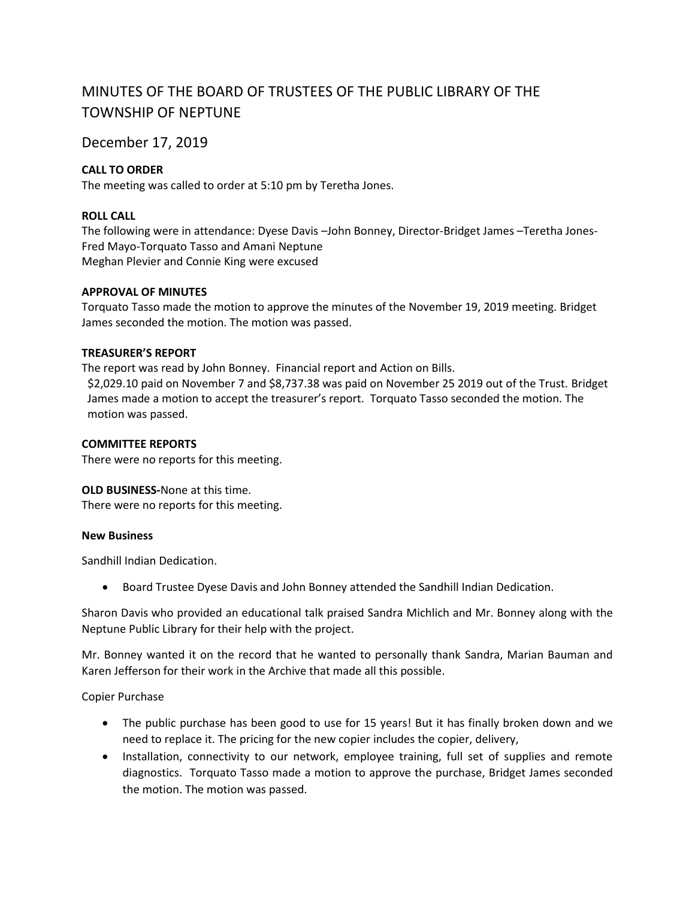# MINUTES OF THE BOARD OF TRUSTEES OF THE PUBLIC LIBRARY OF THE TOWNSHIP OF NEPTUNE

December 17, 2019

# **CALL TO ORDER**

The meeting was called to order at 5:10 pm by Teretha Jones.

## **ROLL CALL**

The following were in attendance: Dyese Davis –John Bonney, Director-Bridget James –Teretha Jones-Fred Mayo-Torquato Tasso and Amani Neptune Meghan Plevier and Connie King were excused

### **APPROVAL OF MINUTES**

Torquato Tasso made the motion to approve the minutes of the November 19, 2019 meeting. Bridget James seconded the motion. The motion was passed.

#### **TREASURER'S REPORT**

The report was read by John Bonney. Financial report and Action on Bills. \$2,029.10 paid on November 7 and \$8,737.38 was paid on November 25 2019 out of the Trust. Bridget James made a motion to accept the treasurer's report. Torquato Tasso seconded the motion. The motion was passed.

#### **COMMITTEE REPORTS**

There were no reports for this meeting.

### **OLD BUSINESS-**None at this time.

There were no reports for this meeting.

### **New Business**

Sandhill Indian Dedication.

Board Trustee Dyese Davis and John Bonney attended the Sandhill Indian Dedication.

Sharon Davis who provided an educational talk praised Sandra Michlich and Mr. Bonney along with the Neptune Public Library for their help with the project.

Mr. Bonney wanted it on the record that he wanted to personally thank Sandra, Marian Bauman and Karen Jefferson for their work in the Archive that made all this possible.

Copier Purchase

- The public purchase has been good to use for 15 years! But it has finally broken down and we need to replace it. The pricing for the new copier includes the copier, delivery,
- Installation, connectivity to our network, employee training, full set of supplies and remote diagnostics. Torquato Tasso made a motion to approve the purchase, Bridget James seconded the motion. The motion was passed.